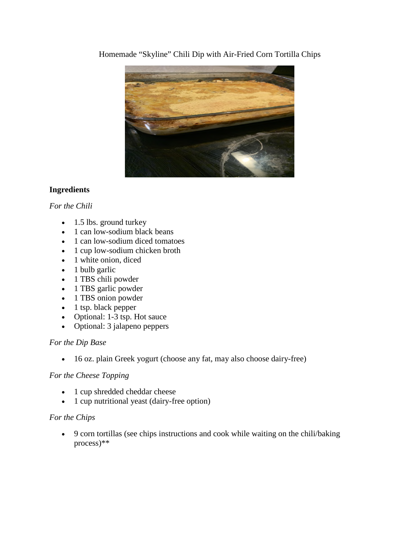Homemade "Skyline" Chili Dip with Air-Fried Corn Tortilla Chips



# **Ingredients**

# *For the Chili*

- 1.5 lbs. ground turkey
- 1 can low-sodium black beans
- 1 can low-sodium diced tomatoes
- 1 cup low-sodium chicken broth
- 1 white onion, diced
- 1 bulb garlic
- 1 TBS chili powder
- 1 TBS garlic powder
- 1 TBS onion powder
- $\bullet$  1 tsp. black pepper
- Optional: 1-3 tsp. Hot sauce
- Optional: 3 jalapeno peppers

# *For the Dip Base*

16 oz. plain Greek yogurt (choose any fat, may also choose dairy-free)

# *For the Cheese Topping*

- 1 cup shredded cheddar cheese
- 1 cup nutritional yeast (dairy-free option)

## *For the Chips*

 9 corn tortillas (see chips instructions and cook while waiting on the chili/baking process)\*\*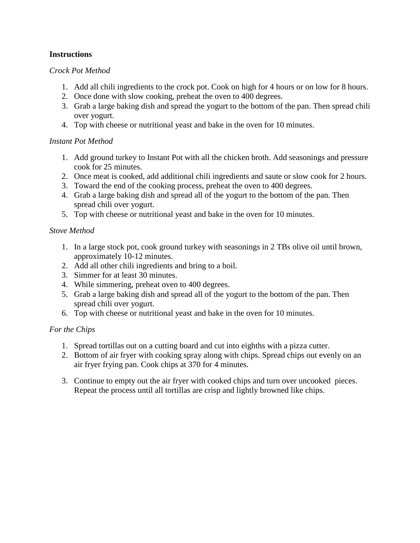### **Instructions**

### *Crock Pot Method*

- 1. Add all chili ingredients to the crock pot. Cook on high for 4 hours or on low for 8 hours.
- 2. Once done with slow cooking, preheat the oven to 400 degrees.
- 3. Grab a large baking dish and spread the yogurt to the bottom of the pan. Then spread chili over yogurt.
- 4. Top with cheese or nutritional yeast and bake in the oven for 10 minutes.

## *Instant Pot Method*

- 1. Add ground turkey to Instant Pot with all the chicken broth. Add seasonings and pressure cook for 25 minutes.
- 2. Once meat is cooked, add additional chili ingredients and saute or slow cook for 2 hours.
- 3. Toward the end of the cooking process, preheat the oven to 400 degrees.
- 4. Grab a large baking dish and spread all of the yogurt to the bottom of the pan. Then spread chili over yogurt.
- 5. Top with cheese or nutritional yeast and bake in the oven for 10 minutes.

## *Stove Method*

- 1. In a large stock pot, cook ground turkey with seasonings in 2 TBs olive oil until brown, approximately 10-12 minutes.
- 2. Add all other chili ingredients and bring to a boil.
- 3. Simmer for at least 30 minutes.
- 4. While simmering, preheat oven to 400 degrees.
- 5. Grab a large baking dish and spread all of the yogurt to the bottom of the pan. Then spread chili over yogurt.
- 6. Top with cheese or nutritional yeast and bake in the oven for 10 minutes.

# *For the Chips*

- 1. Spread tortillas out on a cutting board and cut into eighths with a pizza cutter.
- 2. Bottom of air fryer with cooking spray along with chips. Spread chips out evenly on an air fryer frying pan. Cook chips at 370 for 4 minutes.
- 3. Continue to empty out the air fryer with cooked chips and turn over uncooked pieces. Repeat the process until all tortillas are crisp and lightly browned like chips.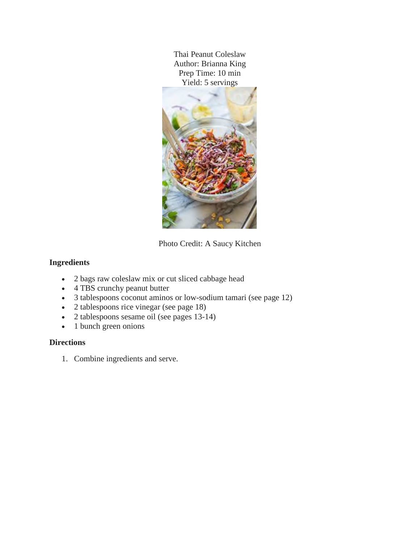Thai Peanut Coleslaw Author: Brianna King Prep Time: 10 min Yield: 5 servings



Photo Credit: A Saucy Kitchen

# **Ingredients**

- 2 bags raw coleslaw mix or cut sliced cabbage head
- 4 TBS crunchy peanut butter
- 3 tablespoons coconut aminos or low-sodium tamari (see page 12)
- 2 tablespoons rice vinegar (see page 18)
- 2 tablespoons sesame oil (see pages 13-14)
- 1 bunch green onions

## **Directions**

1. Combine ingredients and serve.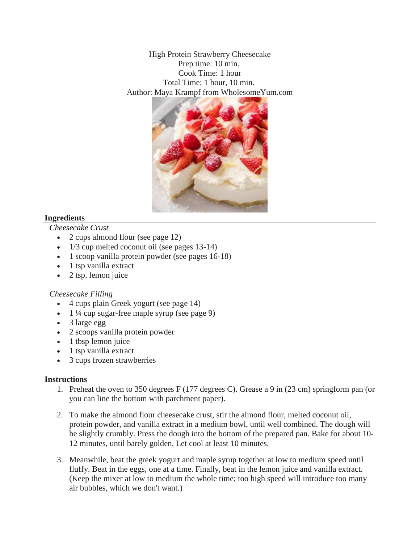High Protein Strawberry Cheesecake Prep time: 10 min. Cook Time: 1 hour Total Time: 1 hour, 10 min. Author: Maya Krampf from WholesomeYum.com



### **Ingredients**

*Cheesecake Crust*

- 2 cups almond flour (see page 12)
- 1/3 cup melted coconut oil (see pages 13-14)
- 1 scoop vanilla protein powder (see pages 16-18)
- 1 tsp vanilla extract
- $\bullet$  2 tsp. lemon juice

#### *Cheesecake Filling*

- 4 cups plain Greek yogurt (see page 14)
- $\cdot$  1 ¼ cup sugar-free maple syrup (see page 9)
- 3 large egg
- 2 scoops vanilla protein powder
- $\bullet$  1 tbsp lemon juice
- 1 tsp vanilla extract
- 3 cups frozen strawberries

#### **Instructions**

- 1. Preheat the oven to 350 degrees F (177 degrees C). Grease a 9 in (23 cm) springform pan (or you can line the bottom with parchment paper).
- 2. To make the almond flour cheesecake crust, stir the almond flour, melted coconut oil, protein powder, and vanilla extract in a medium bowl, until well combined. The dough will be slightly crumbly. Press the dough into the bottom of the prepared pan. Bake for about 10- 12 minutes, until barely golden. Let cool at least 10 minutes.
- 3. Meanwhile, beat the greek yogurt and maple syrup together at low to medium speed until fluffy. Beat in the eggs, one at a time. Finally, beat in the lemon juice and vanilla extract. (Keep the mixer at low to medium the whole time; too high speed will introduce too many air bubbles, which we don't want.)